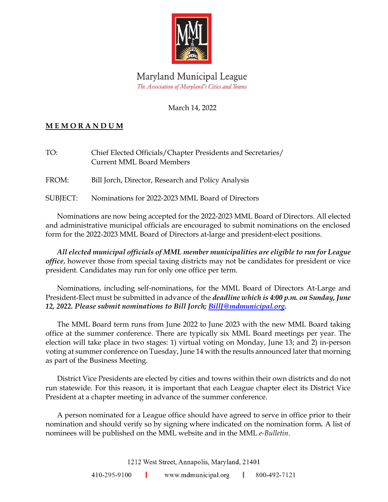

## Maryland Municipal League The Association of Maryland's Cities and Towns

### March 14, 2022

## **M E M O R A N D U M**

| TO:   | Chief Elected Officials/Chapter Presidents and Secretaries/<br><b>Current MML Board Members</b> |  |
|-------|-------------------------------------------------------------------------------------------------|--|
| FROM: | Bill Jorch, Director, Research and Policy Analysis                                              |  |

SUBJECT: Nominations for 2022-2023 MML Board of Directors

Nominations are now being accepted for the 2022-2023 MML Board of Directors. All elected and administrative municipal officials are encouraged to submit nominations on the enclosed form for the 2022-2023 MML Board of Directors at-large and president-elect positions.

*All elected municipal officials of MML member municipalities are eligible to run for League office*, however those from special taxing districts may not be candidates for president or vice president. Candidates may run for only one office per term.

Nominations, including self-nominations, for the MML Board of Directors At-Large and President-Elect must be submitted in advance of the *deadline which is 4:00 p.m. on Sunday, June 12, 2022. Please submit nominations to Bill Jorch; [BillJ@mdmunicipal.org.](mailto:BillJ@mdmunicipal.org)*

The MML Board term runs from June 2022 to June 2023 with the new MML Board taking office at the summer conference. There are typically six MML Board meetings per year. The election will take place in two stages: 1) virtual voting on Monday, June 13; and 2) in-person voting at summer conference on Tuesday, June 14 with the results announced later that morning as part of the Business Meeting.

District Vice Presidents are elected by cities and towns within their own districts and do not run statewide. For this reason, it is important that each League chapter elect its District Vice President at a chapter meeting in advance of the summer conference.

A person nominated for a League office should have agreed to serve in office prior to their nomination and should verify so by signing where indicated on the nomination form*.* A list of nominees will be published on the MML website and in the MML *e-Bulletin*.

1212 West Street, Annapolis, Maryland, 21401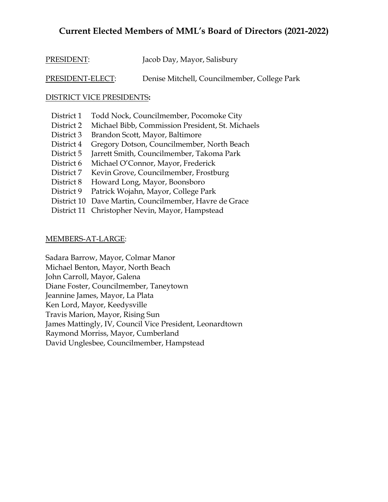## **Current Elected Members of MML's Board of Directors (2021-2022)**

| PRESIDENT: | Jacob Day, Mayor, Salisbury |
|------------|-----------------------------|
|------------|-----------------------------|

PRESIDENT-ELECT: Denise Mitchell, Councilmember, College Park

#### DISTRICT VICE PRESIDENTS**:**

| District 1  | Todd Nock, Councilmember, Pocomoke City          |
|-------------|--------------------------------------------------|
| District 2  | Michael Bibb, Commission President, St. Michaels |
| District 3  | Brandon Scott, Mayor, Baltimore                  |
| District 4  | Gregory Dotson, Councilmember, North Beach       |
| District 5  | Jarrett Smith, Councilmember, Takoma Park        |
| District 6  | Michael O'Connor, Mayor, Frederick               |
| District 7  | Kevin Grove, Councilmember, Frostburg            |
| District 8  | Howard Long, Mayor, Boonsboro                    |
| District 9  | Patrick Wojahn, Mayor, College Park              |
| District 10 | Dave Martin, Councilmember, Havre de Grace       |
| District 11 | Christopher Nevin, Mayor, Hampstead              |
|             |                                                  |

#### MEMBERS-AT-LARGE:

Sadara Barrow, Mayor, Colmar Manor Michael Benton, Mayor, North Beach John Carroll, Mayor, Galena Diane Foster, Councilmember, Taneytown Jeannine James, Mayor, La Plata Ken Lord, Mayor, Keedysville Travis Marion, Mayor, Rising Sun James Mattingly, IV, Council Vice President, Leonardtown Raymond Morriss, Mayor, Cumberland David Unglesbee, Councilmember, Hampstead